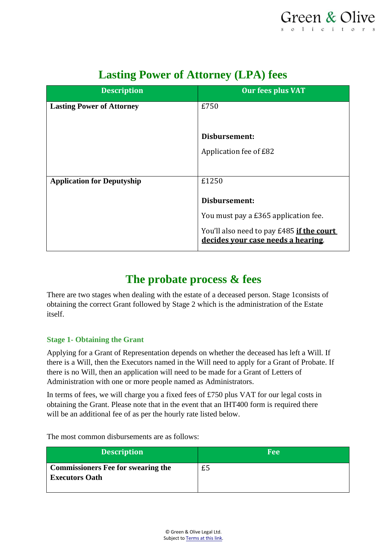| <b>Description</b>                | <b>Our fees plus VAT</b>                                                        |
|-----------------------------------|---------------------------------------------------------------------------------|
| <b>Lasting Power of Attorney</b>  | £750                                                                            |
|                                   |                                                                                 |
|                                   | Disbursement:                                                                   |
|                                   | Application fee of £82                                                          |
|                                   |                                                                                 |
| <b>Application for Deputyship</b> | £1250                                                                           |
|                                   | Disbursement:                                                                   |
|                                   | You must pay a £365 application fee.                                            |
|                                   | You'll also need to pay £485 if the court<br>decides your case needs a hearing. |

# **Lasting Power of Attorney (LPA) fees**

## **The probate process & fees**

There are two stages when dealing with the estate of a deceased person. Stage 1consists of obtaining the correct Grant followed by Stage 2 which is the administration of the Estate itself.

## **Stage 1- Obtaining the Grant**

Applying for a Grant of Representation depends on whether the deceased has left a Will. If there is a Will, then the Executors named in the Will need to apply for a Grant of Probate. If there is no Will, then an application will need to be made for a Grant of Letters of Administration with one or more people named as Administrators.

In terms of fees, we will charge you a fixed fees of £750 plus VAT for our legal costs in obtaining the Grant. Please note that in the event that an IHT400 form is required there will be an additional fee of as per the hourly rate listed below.

| <b>Description</b>                                                 | <b>Fee</b> |
|--------------------------------------------------------------------|------------|
| <b>Commissioners Fee for swearing the</b><br><b>Executors Oath</b> | £5         |

The most common disbursements are as follows: